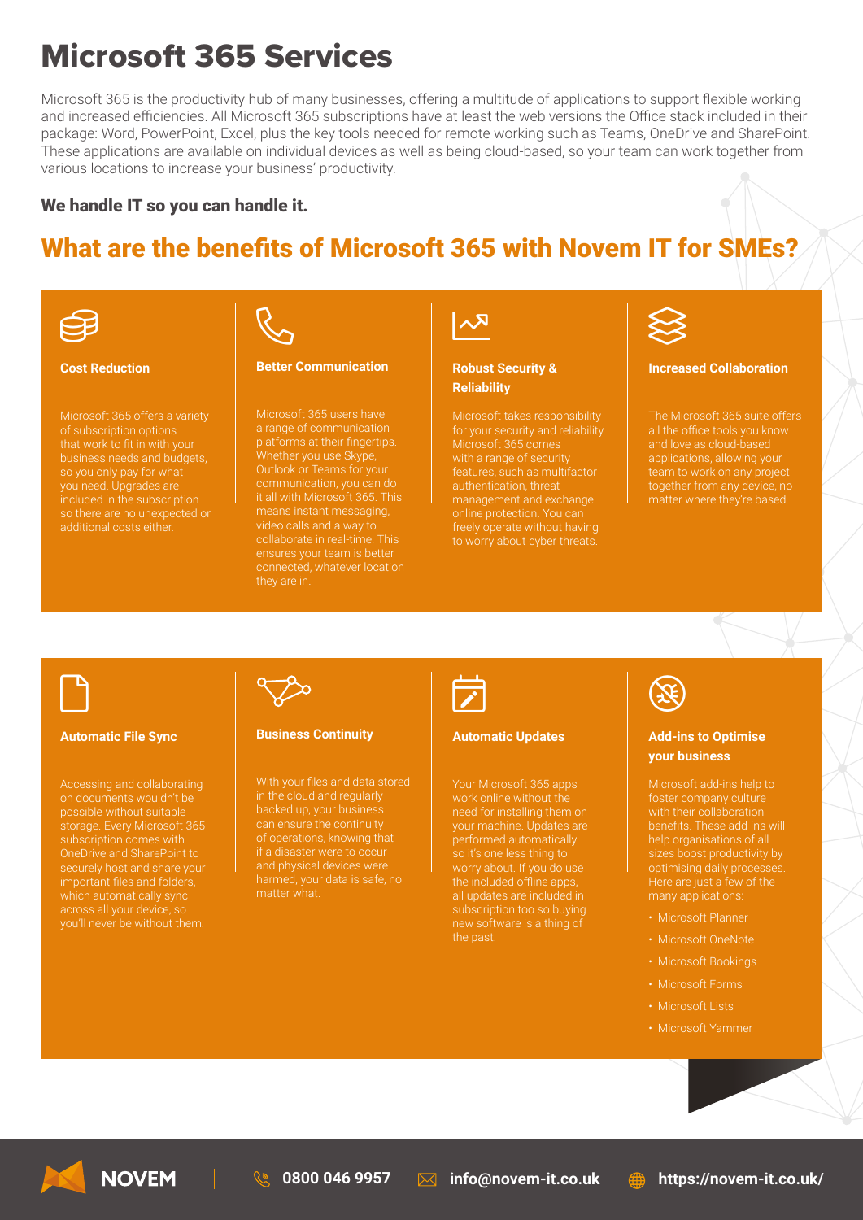# Microsoft 365 Services

Microsoft 365 is the productivity hub of many businesses, offering a multitude of applications to support flexible working and increased efficiencies. All Microsoft 365 subscriptions have at least the web versions the Office stack included in their package: Word, PowerPoint, Excel, plus the key tools needed for remote working such as Teams, OneDrive and SharePoint. These applications are available on individual devices as well as being cloud-based, so your team can work together from various locations to increase your business' productivity.

### We handle IT so you can handle it.

# What are the benefits of Microsoft 365 with Novem IT for SMEs?



#### **Cost Reduction**

that work to fit in with your business needs and budgets, so you only pay for what you need. Upgrades are additional costs either.



#### **Better Communication**

Microsoft 365 users have a range of communication platforms at their fingertips. Whether you use Skype, means instant messaging, video calls and a way to connected, whatever location they are in.

### **Robust Security & Reliability**

Microsoft takes responsibility Microsoft 365 comes management and exchange to worry about cyber threats.



#### **Increased Collaboration**

and love as cloud-based applications, allowing your team to work on any project together from any device, no

# $\Box$

#### **Automatic File Sync**

Accessing and collaborating storage. Every Microsoft 365 OneDrive and SharePoint to you'll never be without them.



#### **Business Continuity**

in the cloud and regularly of operations, knowing that and physical devices were



#### **Automatic Updates**

Your Microsoft 365 apps need for installing them on your machine. Updates are so it's one less thing to the included offline apps, subscription too so buying new software is a thing of



### **Add-ins to Optimise your business**

benefits. These add-ins will sizes boost productivity by optimising daily processes.

- Microsoft Planner
- Microsoft OneNote
- Microsoft Bookings
- Microsoft Forms
- Microsoft Lists
- Microsoft Yammer



**0800 046 9957 info@novem-it.co.uk https://novem-it.co.uk/**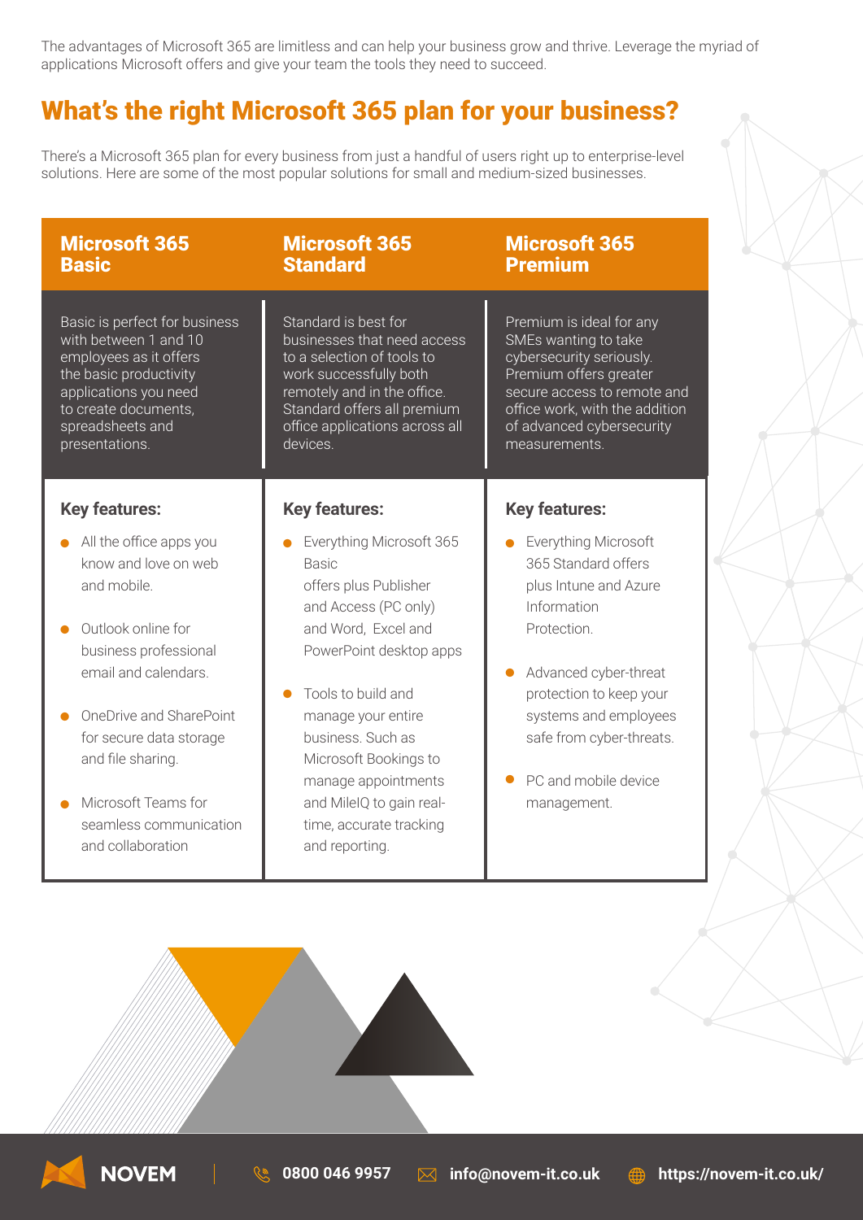The advantages of Microsoft 365 are limitless and can help your business grow and thrive. Leverage the myriad of applications Microsoft offers and give your team the tools they need to succeed.

# What's the right Microsoft 365 plan for your business?

There's a Microsoft 365 plan for every business from just a handful of users right up to enterprise-level solutions. Here are some of the most popular solutions for small and medium-sized businesses.

| <b>Microsoft 365</b>                                                                                                                                                                                                                                                                   | <b>Microsoft 365</b>                                                                                                                                                                                                                                                                                                                  | <b>Microsoft 365</b>                                                                                                                                                                                                                               |
|----------------------------------------------------------------------------------------------------------------------------------------------------------------------------------------------------------------------------------------------------------------------------------------|---------------------------------------------------------------------------------------------------------------------------------------------------------------------------------------------------------------------------------------------------------------------------------------------------------------------------------------|----------------------------------------------------------------------------------------------------------------------------------------------------------------------------------------------------------------------------------------------------|
| <b>Basic</b>                                                                                                                                                                                                                                                                           | <b>Standard</b>                                                                                                                                                                                                                                                                                                                       | <b>Premium</b>                                                                                                                                                                                                                                     |
| Basic is perfect for business                                                                                                                                                                                                                                                          | Standard is best for                                                                                                                                                                                                                                                                                                                  | Premium is ideal for any                                                                                                                                                                                                                           |
| with between 1 and 10                                                                                                                                                                                                                                                                  | businesses that need access                                                                                                                                                                                                                                                                                                           | SMEs wanting to take                                                                                                                                                                                                                               |
| employees as it offers                                                                                                                                                                                                                                                                 | to a selection of tools to                                                                                                                                                                                                                                                                                                            | cybersecurity seriously.                                                                                                                                                                                                                           |
| the basic productivity                                                                                                                                                                                                                                                                 | work successfully both                                                                                                                                                                                                                                                                                                                | Premium offers greater                                                                                                                                                                                                                             |
| applications you need                                                                                                                                                                                                                                                                  | remotely and in the office.                                                                                                                                                                                                                                                                                                           | secure access to remote and                                                                                                                                                                                                                        |
| to create documents,                                                                                                                                                                                                                                                                   | Standard offers all premium                                                                                                                                                                                                                                                                                                           | office work, with the addition                                                                                                                                                                                                                     |
| spreadsheets and                                                                                                                                                                                                                                                                       | office applications across all                                                                                                                                                                                                                                                                                                        | of advanced cybersecurity                                                                                                                                                                                                                          |
| presentations.                                                                                                                                                                                                                                                                         | devices.                                                                                                                                                                                                                                                                                                                              | measurements.                                                                                                                                                                                                                                      |
| <b>Key features:</b>                                                                                                                                                                                                                                                                   | <b>Key features:</b>                                                                                                                                                                                                                                                                                                                  | <b>Key features:</b>                                                                                                                                                                                                                               |
| All the office apps you<br>know and love on web<br>and mobile.<br>Outlook online for<br>business professional<br>email and calendars.<br>OneDrive and SharePoint<br>for secure data storage<br>and file sharing.<br>Microsoft Teams for<br>seamless communication<br>and collaboration | Everything Microsoft 365<br><b>Basic</b><br>offers plus Publisher<br>and Access (PC only)<br>and Word, Excel and<br>PowerPoint desktop apps<br>Tools to build and<br>manage your entire<br>business. Such as<br>Microsoft Bookings to<br>manage appointments<br>and MileIQ to gain real-<br>time, accurate tracking<br>and reporting. | Everything Microsoft<br>365 Standard offers<br>plus Intune and Azure<br>Information<br>Protection.<br>Advanced cyber-threat<br>protection to keep your<br>systems and employees<br>safe from cyber-threats.<br>PC and mobile device<br>management. |